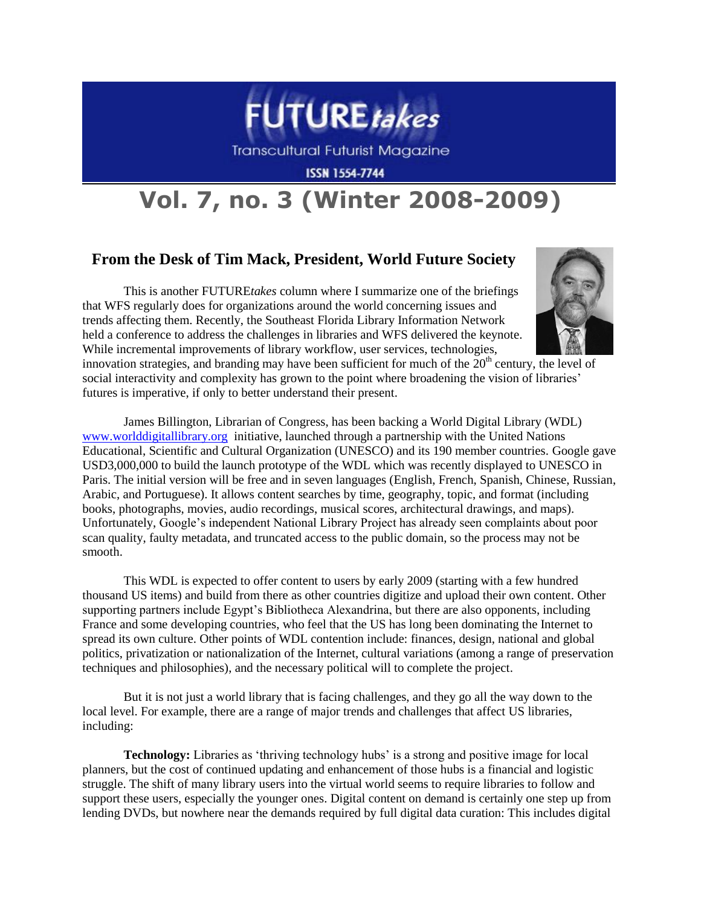

Transcultural Futurist Magazine

**ISSN 1554-7744** 

## **Vol. 7, no. 3 (Winter 2008-2009)**

## **From the Desk of Tim Mack, President, World Future Society**

This is another FUTURE*takes* column where I summarize one of the briefings that WFS regularly does for organizations around the world concerning issues and trends affecting them. Recently, the Southeast Florida Library Information Network held a conference to address the challenges in libraries and WFS delivered the keynote. While incremental improvements of library workflow, user services, technologies,



innovation strategies, and branding may have been sufficient for much of the  $20<sup>th</sup>$  century, the level of social interactivity and complexity has grown to the point where broadening the vision of libraries' futures is imperative, if only to better understand their present.

James Billington, Librarian of Congress, has been backing a World Digital Library (WDL) [www.worlddigitallibrary.org](http://www.worlddigitallibrary.org/) initiative, launched through a partnership with the United Nations Educational, Scientific and Cultural Organization (UNESCO) and its 190 member countries. Google gave USD3,000,000 to build the launch prototype of the WDL which was recently displayed to UNESCO in Paris. The initial version will be free and in seven languages (English, French, Spanish, Chinese, Russian, Arabic, and Portuguese). It allows content searches by time, geography, topic, and format (including books, photographs, movies, audio recordings, musical scores, architectural drawings, and maps). Unfortunately, Google"s independent National Library Project has already seen complaints about poor scan quality, faulty metadata, and truncated access to the public domain, so the process may not be smooth.

This WDL is expected to offer content to users by early 2009 (starting with a few hundred thousand US items) and build from there as other countries digitize and upload their own content. Other supporting partners include Egypt's Bibliotheca Alexandrina, but there are also opponents, including France and some developing countries, who feel that the US has long been dominating the Internet to spread its own culture. Other points of WDL contention include: finances, design, national and global politics, privatization or nationalization of the Internet, cultural variations (among a range of preservation techniques and philosophies), and the necessary political will to complete the project.

But it is not just a world library that is facing challenges, and they go all the way down to the local level. For example, there are a range of major trends and challenges that affect US libraries, including:

**Technology:** Libraries as 'thriving technology hubs' is a strong and positive image for local planners, but the cost of continued updating and enhancement of those hubs is a financial and logistic struggle. The shift of many library users into the virtual world seems to require libraries to follow and support these users, especially the younger ones. Digital content on demand is certainly one step up from lending DVDs, but nowhere near the demands required by full digital data curation: This includes digital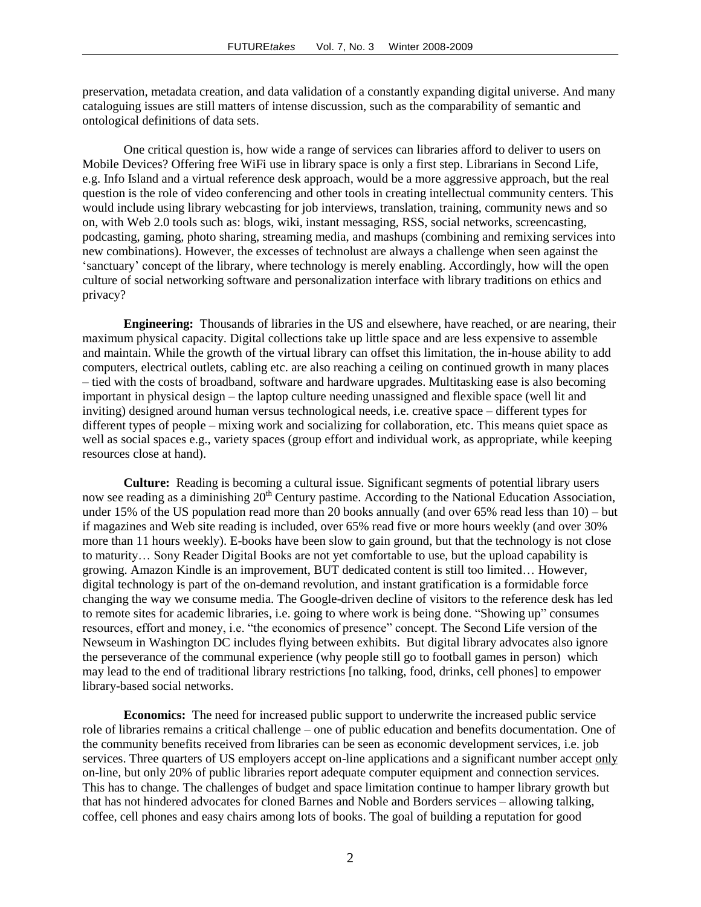preservation, metadata creation, and data validation of a constantly expanding digital universe. And many cataloguing issues are still matters of intense discussion, such as the comparability of semantic and ontological definitions of data sets.

One critical question is, how wide a range of services can libraries afford to deliver to users on Mobile Devices? Offering free WiFi use in library space is only a first step. Librarians in Second Life, e.g. Info Island and a virtual reference desk approach, would be a more aggressive approach, but the real question is the role of video conferencing and other tools in creating intellectual community centers. This would include using library webcasting for job interviews, translation, training, community news and so on, with Web 2.0 tools such as: blogs, wiki, instant messaging, RSS, social networks, screencasting, podcasting, gaming, photo sharing, streaming media, and mashups (combining and remixing services into new combinations). However, the excesses of technolust are always a challenge when seen against the "sanctuary" concept of the library, where technology is merely enabling. Accordingly, how will the open culture of social networking software and personalization interface with library traditions on ethics and privacy?

**Engineering:** Thousands of libraries in the US and elsewhere, have reached, or are nearing, their maximum physical capacity. Digital collections take up little space and are less expensive to assemble and maintain. While the growth of the virtual library can offset this limitation, the in-house ability to add computers, electrical outlets, cabling etc. are also reaching a ceiling on continued growth in many places – tied with the costs of broadband, software and hardware upgrades. Multitasking ease is also becoming important in physical design – the laptop culture needing unassigned and flexible space (well lit and inviting) designed around human versus technological needs, i.e. creative space – different types for different types of people – mixing work and socializing for collaboration, etc. This means quiet space as well as social spaces e.g., variety spaces (group effort and individual work, as appropriate, while keeping resources close at hand).

**Culture:** Reading is becoming a cultural issue. Significant segments of potential library users now see reading as a diminishing 20<sup>th</sup> Century pastime. According to the National Education Association, under 15% of the US population read more than 20 books annually (and over 65% read less than 10) – but if magazines and Web site reading is included, over 65% read five or more hours weekly (and over 30% more than 11 hours weekly). E-books have been slow to gain ground, but that the technology is not close to maturity… Sony Reader Digital Books are not yet comfortable to use, but the upload capability is growing. Amazon Kindle is an improvement, BUT dedicated content is still too limited… However, digital technology is part of the on-demand revolution, and instant gratification is a formidable force changing the way we consume media. The Google-driven decline of visitors to the reference desk has led to remote sites for academic libraries, i.e. going to where work is being done. "Showing up" consumes resources, effort and money, i.e. "the economics of presence" concept. The Second Life version of the Newseum in Washington DC includes flying between exhibits. But digital library advocates also ignore the perseverance of the communal experience (why people still go to football games in person) which may lead to the end of traditional library restrictions [no talking, food, drinks, cell phones] to empower library-based social networks.

**Economics:** The need for increased public support to underwrite the increased public service role of libraries remains a critical challenge – one of public education and benefits documentation. One of the community benefits received from libraries can be seen as economic development services, i.e. job services. Three quarters of US employers accept on-line applications and a significant number accept only on-line, but only 20% of public libraries report adequate computer equipment and connection services. This has to change. The challenges of budget and space limitation continue to hamper library growth but that has not hindered advocates for cloned Barnes and Noble and Borders services – allowing talking, coffee, cell phones and easy chairs among lots of books. The goal of building a reputation for good